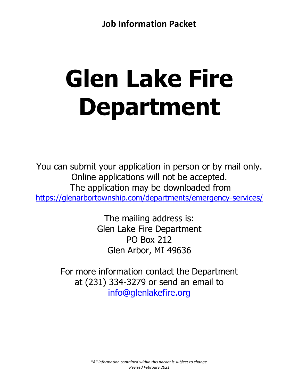# **Glen Lake Fire Department**

You can submit your application in person or by mail only. Online applications will not be accepted. The application may be downloaded from <https://glenarbortownship.com/departments/emergency-services/>

> The mailing address is: Glen Lake Fire Department PO Box 212 Glen Arbor, MI 49636

For more information contact the Department at (231) 334-3279 or send an email to [info@glenlakefire.org](mailto:info@glenlakefire.org)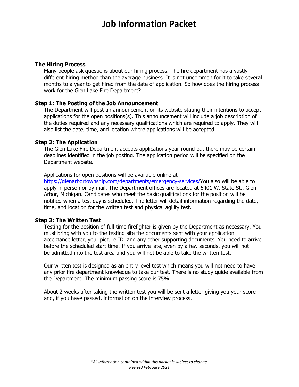#### **The Hiring Process**

Many people ask questions about our hiring process. The fire department has a vastly different hiring method than the average business. It is not uncommon for it to take several months to a year to get hired from the date of application. So how does the hiring process work for the Glen Lake Fire Department?

# **Step 1: The Posting of the Job Announcement**

The Department will post an announcement on its website stating their intentions to accept applications for the open positions(s). This announcement will include a job description of the duties required and any necessary qualifications which are required to apply. They will also list the date, time, and location where applications will be accepted.

#### **Step 2: The Application**

The Glen Lake Fire Department accepts applications year-round but there may be certain deadlines identified in the job posting. The application period will be specified on the Department website.

Applications for open positions will be available online at

[https://glenarbortownship.com/departments/emergency-services/Y](https://glenarbortownship.com/departments/emergency-services/)ou also will be able to apply in person or by mail. The Department offices are located at 6401 W. State St., Glen Arbor, Michigan. Candidates who meet the basic qualifications for the position will be notified when a test day is scheduled. The letter will detail information regarding the date, time, and location for the written test and physical agility test.

# **Step 3: The Written Test**

Testing for the position of full-time firefighter is given by the Department as necessary. You must bring with you to the testing site the documents sent with your application acceptance letter, your picture ID, and any other supporting documents. You need to arrive before the scheduled start time. If you arrive late, even by a few seconds, you will not be admitted into the test area and you will not be able to take the written test.

Our written test is designed as an entry level test which means you will not need to have any prior fire department knowledge to take our test. There is no study guide available from the Department. The minimum passing score is 75%.

About 2 weeks after taking the written test you will be sent a letter giving you your score and, if you have passed, information on the interview process.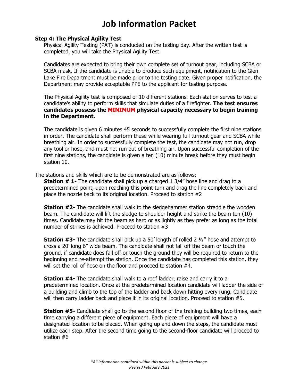#### **Step 4: The Physical Agility Test**

Physical Agility Testing (PAT) is conducted on the testing day. After the written test is completed, you will take the Physical Agility Test.

Candidates are expected to bring their own complete set of turnout gear, including SCBA or SCBA mask. If the candidate is unable to produce such equipment, notification to the Glen Lake Fire Department must be made prior to the testing date. Given proper notification, the Department may provide acceptable PPE to the applicant for testing purpose.

The Physical Agility test is composed of 10 different stations. Each station serves to test a candidate's ability to perform skills that simulate duties of a firefighter. **The test ensures candidates possess the MINIMUM physical capacity necessary to begin training in the Department.**

The candidate is given 6 minutes 45 seconds to successfully complete the first nine stations in order. The candidate shall perform these while wearing full turnout gear and SCBA while breathing air. In order to successfully complete the test, the candidate may not run, drop any tool or hose, and must not run out of breathing air. Upon successful completion of the first nine stations, the candidate is given a ten (10) minute break before they must begin station 10.

The stations and skills which are to be demonstrated are as follows:

**Station # 1-** The candidate shall pick up a charged 1 3/4" hose line and drag to a predetermined point, upon reaching this point turn and drag the line completely back and place the nozzle back to its original location. Proceed to station #2

**Station #2-** The candidate shall walk to the sledgehammer station straddle the wooden beam. The candidate will lift the sledge to shoulder height and strike the beam ten (10) times. Candidate may hit the beam as hard or as lightly as they prefer as long as the total number of strikes is achieved. Proceed to station #3

**Station #3-** The candidate shall pick up a 50' length of rolled 2 ½" hose and attempt to cross a 20' long 6" wide beam. The candidate shall not fall off the beam or touch the ground, if candidate does fall off or touch the ground they will be required to return to the beginning and re-attempt the station. Once the candidate has completed this station, they will set the roll of hose on the floor and proceed to station #4.

**Station #4-** The candidate shall walk to a roof ladder, raise and carry it to a predetermined location. Once at the predetermined location candidate will ladder the side of a building and climb to the top of the ladder and back down hitting every rung. Candidate will then carry ladder back and place it in its original location. Proceed to station #5.

**Station #5-** Candidate shall go to the second floor of the training building two times, each time carrying a different piece of equipment. Each piece of equipment will have a designated location to be placed. When going up and down the steps, the candidate must utilize each step. After the second time going to the second-floor candidate will proceed to station #6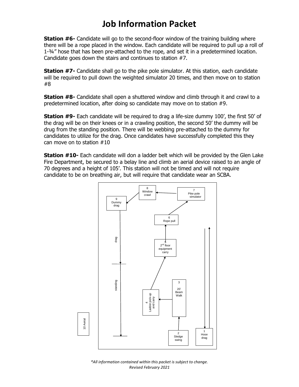**Station #6-** Candidate will go to the second-floor window of the training building where there will be a rope placed in the window. Each candidate will be required to pull up a roll of 1-¾" hose that has been pre-attached to the rope, and set it in a predetermined location. Candidate goes down the stairs and continues to station #7.

**Station #7-** Candidate shall go to the pike pole simulator. At this station, each candidate will be required to pull down the weighted simulator 20 times, and then move on to station #8

**Station #8-** Candidate shall open a shuttered window and climb through it and crawl to a predetermined location, after doing so candidate may move on to station #9.

**Station #9-** Each candidate will be required to drag a life-size dummy 100', the first 50' of the drag will be on their knees or in a crawling position, the second 50' the dummy will be drug from the standing position. There will be webbing pre-attached to the dummy for candidates to utilize for the drag. Once candidates have successfully completed this they can move on to station #10

**Station #10-** Each candidate will don a ladder belt which will be provided by the Glen Lake Fire Department, be secured to a belay line and climb an aerial device raised to an angle of 70 degrees and a height of 105'. This station will not be timed and will not require candidate to be on breathing air, but will require that candidate wear an SCBA.



*\*All information contained within this packet is subject to change. Revised February 2021*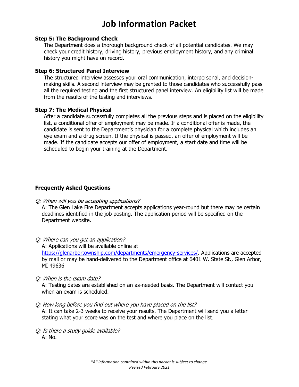#### **Step 5: The Background Check**

The Department does a thorough background check of all potential candidates. We may check your credit history, driving history, previous employment history, and any criminal history you might have on record.

### **Step 6: Structured Panel Interview**

The structured interview assesses your oral communication, interpersonal, and decisionmaking skills. A second interview may be granted to those candidates who successfully pass all the required testing and the first structured panel interview. An eligibility list will be made from the results of the testing and interviews.

#### **Step 7: The Medical Physical**

After a candidate successfully completes all the previous steps and is placed on the eligibility list, a conditional offer of employment may be made. If a conditional offer is made, the candidate is sent to the Department's physician for a complete physical which includes an eye exam and a drug screen. If the physical is passed, an offer of employment will be made. If the candidate accepts our offer of employment, a start date and time will be scheduled to begin your training at the Department.

# **Frequently Asked Questions**

Q: When will you be accepting applications?

A: The Glen Lake Fire Department accepts applications year-round but there may be certain deadlines identified in the job posting. The application period will be specified on the Department website.

Q: Where can you get an application?

A: Applications will be available online at

[https://glenarbortownship.com/departments/emergency-services/.](https://glenarbortownship.com/departments/emergency-services/) Applications are accepted by mail or may be hand-delivered to the Department office at 6401 W. State St., Glen Arbor, MI 49636

Q: When is the exam date?

A: Testing dates are established on an as-needed basis. The Department will contact you when an exam is scheduled.

Q: How long before you find out where you have placed on the list?

A: It can take 2-3 weeks to receive your results. The Department will send you a letter stating what your score was on the test and where you place on the list.

Q: Is there a study guide available? A: No.